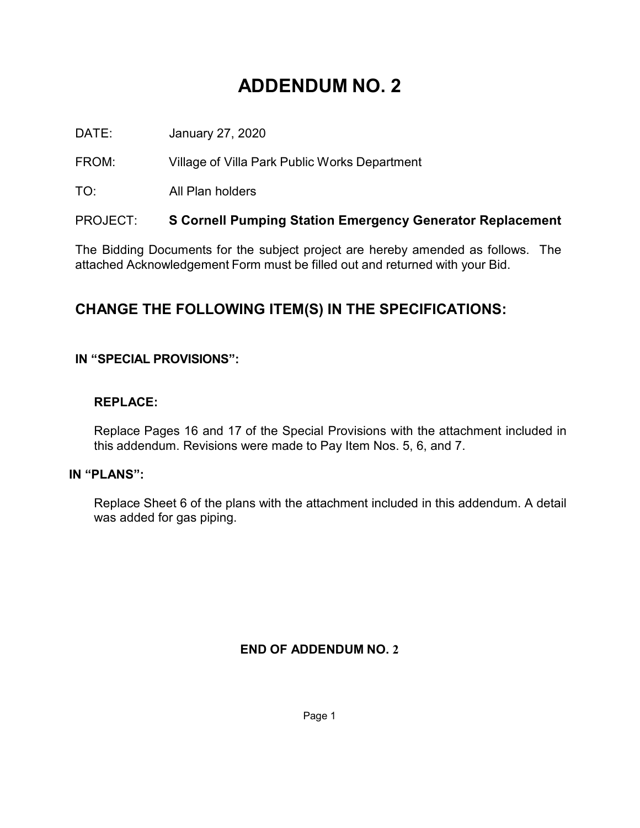# **ADDENDUM NO. 2**

DATE: January 27, 2020

FROM: Village of Villa Park Public Works Department

TO: All Plan holders

### PROJECT: **S Cornell Pumping Station Emergency Generator Replacement**

The Bidding Documents for the subject project are hereby amended as follows. The attached Acknowledgement Form must be filled out and returned with your Bid.

## **CHANGE THE FOLLOWING ITEM(S) IN THE SPECIFICATIONS:**

#### **IN "SPECIAL PROVISIONS":**

#### **REPLACE:**

Replace Pages 16 and 17 of the Special Provisions with the attachment included in this addendum. Revisions were made to Pay Item Nos. 5, 6, and 7.

#### **IN "PLANS":**

Replace Sheet 6 of the plans with the attachment included in this addendum. A detail was added for gas piping.

#### **END OF ADDENDUM NO. 2**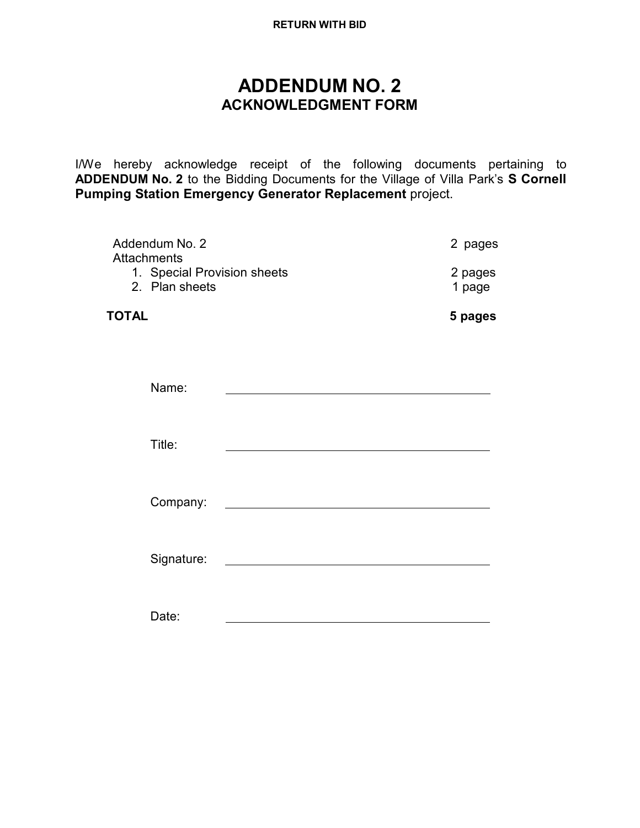#### **RETURN WITH BID**

## **ADDENDUM NO. 2 ACKNOWLEDGMENT FORM**

I/We hereby acknowledge receipt of the following documents pertaining to **ADDENDUM No. 2** to the Bidding Documents for the Village of Villa Park's **S Cornell Pumping Station Emergency Generator Replacement** project.

| Addendum No. 2<br>Attachments                 | 2 pages                                                                                                             |                   |  |
|-----------------------------------------------|---------------------------------------------------------------------------------------------------------------------|-------------------|--|
| 1. Special Provision sheets<br>2. Plan sheets |                                                                                                                     | 2 pages<br>1 page |  |
| TOTAL                                         |                                                                                                                     | 5 pages           |  |
|                                               |                                                                                                                     |                   |  |
| Name:                                         | the contract of the contract of the contract of the contract of the contract of                                     |                   |  |
|                                               |                                                                                                                     |                   |  |
| Title:                                        |                                                                                                                     |                   |  |
| Company:                                      | <u> 1980 - Jan James James Barbara, martin da kasar Amerikaan kasar dalam kasar dalam kasar dalam kasar dalam k</u> |                   |  |
| Signature:                                    |                                                                                                                     |                   |  |
| Date:                                         |                                                                                                                     |                   |  |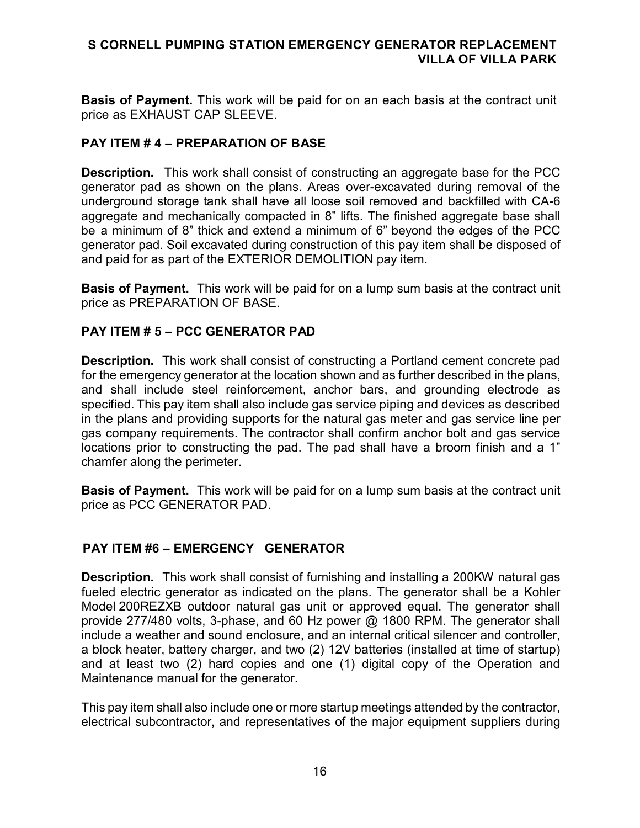#### **S CORNELL PUMPING STATION EMERGENCY GENERATOR REPLACEMENT VILLA OF VILLA PARK**

**Basis of Payment.** This work will be paid for on an each basis at the contract unit price as EXHAUST CAP SLEEVE.

#### **PAY ITEM # 4 – PREPARATION OF BASE**

**Description.** This work shall consist of constructing an aggregate base for the PCC generator pad as shown on the plans. Areas over-excavated during removal of the underground storage tank shall have all loose soil removed and backfilled with CA-6 aggregate and mechanically compacted in 8" lifts. The finished aggregate base shall be a minimum of 8" thick and extend a minimum of 6" beyond the edges of the PCC generator pad. Soil excavated during construction of this pay item shall be disposed of and paid for as part of the EXTERIOR DEMOLITION pay item.

**Basis of Payment.** This work will be paid for on a lump sum basis at the contract unit price as PREPARATION OF BASE.

#### **PAY ITEM # 5 – PCC GENERATOR PAD**

**Description.** This work shall consist of constructing a Portland cement concrete pad for the emergency generator at the location shown and as further described in the plans, and shall include steel reinforcement, anchor bars, and grounding electrode as specified. This pay item shall also include gas service piping and devices as described in the plans and providing supports for the natural gas meter and gas service line per gas company requirements. The contractor shall confirm anchor bolt and gas service locations prior to constructing the pad. The pad shall have a broom finish and a 1" chamfer along the perimeter.

**Basis of Payment.** This work will be paid for on a lump sum basis at the contract unit price as PCC GENERATOR PAD.

#### **PAY ITEM #6 – EMERGENCY GENERATOR**

**Description.** This work shall consist of furnishing and installing a 200KW natural gas fueled electric generator as indicated on the plans. The generator shall be a Kohler Model 200REZXB outdoor natural gas unit or approved equal. The generator shall provide 277/480 volts, 3-phase, and 60 Hz power @ 1800 RPM. The generator shall include a weather and sound enclosure, and an internal critical silencer and controller, a block heater, battery charger, and two (2) 12V batteries (installed at time of startup) and at least two (2) hard copies and one (1) digital copy of the Operation and Maintenance manual for the generator.

This pay item shall also include one or more startup meetings attended by the contractor, electrical subcontractor, and representatives of the major equipment suppliers during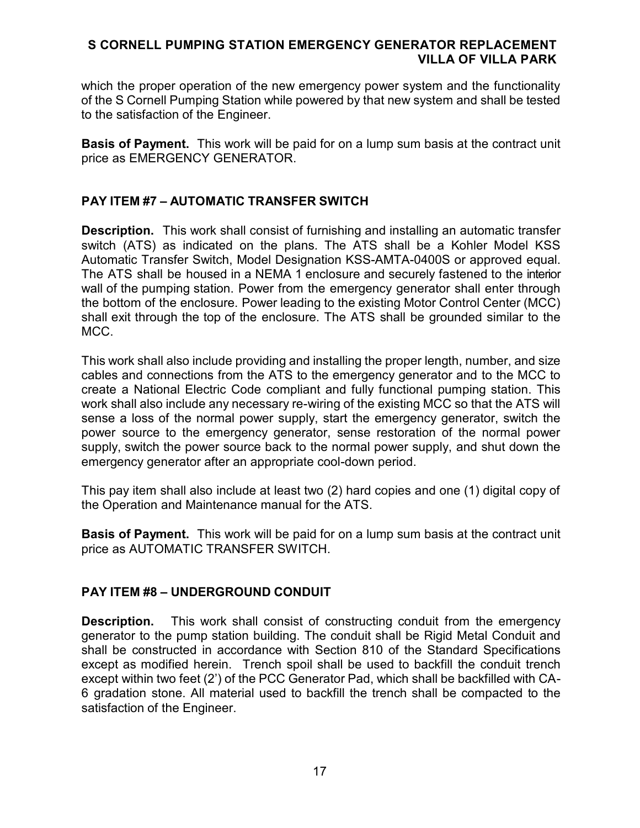#### **S CORNELL PUMPING STATION EMERGENCY GENERATOR REPLACEMENT VILLA OF VILLA PARK**

which the proper operation of the new emergency power system and the functionality of the S Cornell Pumping Station while powered by that new system and shall be tested to the satisfaction of the Engineer.

**Basis of Payment.** This work will be paid for on a lump sum basis at the contract unit price as EMERGENCY GENERATOR.

#### **PAY ITEM #7 – AUTOMATIC TRANSFER SWITCH**

**Description.** This work shall consist of furnishing and installing an automatic transfer switch (ATS) as indicated on the plans. The ATS shall be a Kohler Model KSS Automatic Transfer Switch, Model Designation KSS-AMTA-0400S or approved equal. The ATS shall be housed in a NEMA 1 enclosure and securely fastened to the interior wall of the pumping station. Power from the emergency generator shall enter through the bottom of the enclosure. Power leading to the existing Motor Control Center (MCC) shall exit through the top of the enclosure. The ATS shall be grounded similar to the MCC.

This work shall also include providing and installing the proper length, number, and size cables and connections from the ATS to the emergency generator and to the MCC to create a National Electric Code compliant and fully functional pumping station. This work shall also include any necessary re-wiring of the existing MCC so that the ATS will sense a loss of the normal power supply, start the emergency generator, switch the power source to the emergency generator, sense restoration of the normal power supply, switch the power source back to the normal power supply, and shut down the emergency generator after an appropriate cool-down period.

This pay item shall also include at least two (2) hard copies and one (1) digital copy of the Operation and Maintenance manual for the ATS.

**Basis of Payment.** This work will be paid for on a lump sum basis at the contract unit price as AUTOMATIC TRANSFER SWITCH.

#### **PAY ITEM #8 – UNDERGROUND CONDUIT**

**Description.** This work shall consist of constructing conduit from the emergency generator to the pump station building. The conduit shall be Rigid Metal Conduit and shall be constructed in accordance with Section 810 of the Standard Specifications except as modified herein. Trench spoil shall be used to backfill the conduit trench except within two feet (2') of the PCC Generator Pad, which shall be backfilled with CA-6 gradation stone. All material used to backfill the trench shall be compacted to the satisfaction of the Engineer.